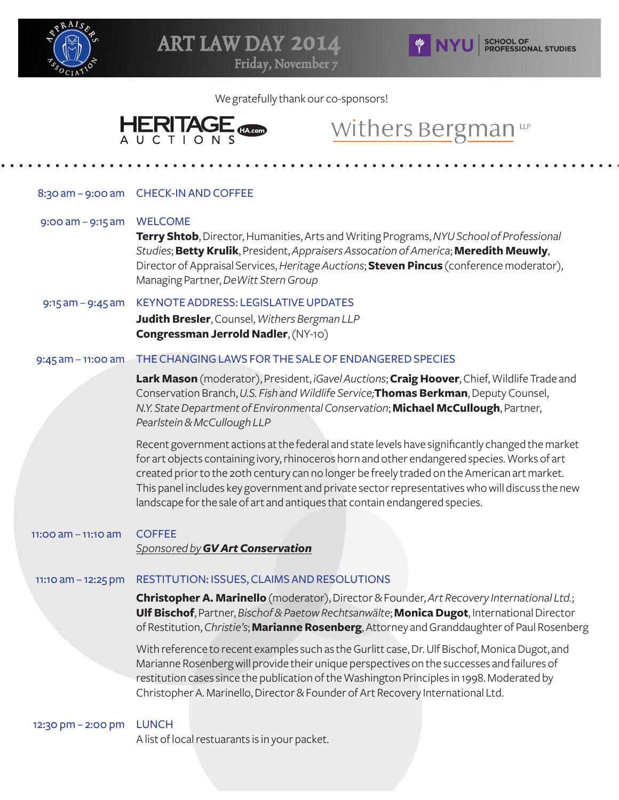

ART LAW DAY 2014 Friday, November 7



We gratefully thank our co-sponsors!



## Withers Bergman LLP

## 8:30 am – 9:00 am CHECK-IN AND COFFEE

## 9:00 am - 9:15 am WELCOME

**Terry Shtob**, Director, Humanities, Arts and Writing Programs, *NYU School of Professional Studies*; **Betty Krulik**, President, *Appraisers Assocation of America*; **Meredith Meuwly**, Director of Appraisal Services, *Heritage Auctions*; **Steven Pincus** (conference moderator), Managing Partner, *DeWitt Stern Group*

## 9:15 am – 9:45 am KEYNOTE ADDRESS: LEGISLATIVE UPDATES

**Judith Bresler**, Counsel, *Withers Bergman LLP* **Congressman Jerrold Nadler**, (NY-10)

#### 9:45 am – 11:00 am THE CHANGING LAWS FOR THE SALE OF ENDANGERED SPECIES

**Lark Mason** (moderator), President, *iGavel Auctions*; **Craig Hoover**, Chief, Wildlife Trade and Conservation Branch, *U.S. Fish and Wildlife Service;***Thomas Berkman**, Deputy Counsel, *N.Y. State Department of Environmental Conservation*; **Michael McCullough**, Partner, *Pearlstein & McCullough LLP*

Recent government actions at the federal and state levels have signifcantly changed the market for art objects containing ivory, rhinoceros horn and other endangered species. Works of art created prior to the 20th century can no longer be freely traded on the American art market. This panel includes key government and private sector representatives who will discuss the new landscape for the sale of art and antiques that contain endangered species.

#### 11:00 am – 11:10 am **COFFEE**

*Sponsored by GV Art Conservation*

### 11:10 am – 12:25 pm RESTITUTION: ISSUES, CLAIMS AND RESOLUTIONS

**Christopher A. Marinello** (moderator), Director & Founder, *Art Recovery International Ltd.*; **Ulf Bischof**, Partner, *Bischof & Paetow Rechtsanwälte*; **Monica Dugot**, International Director of Restitution, *Christie's*; **Marianne Rosenberg**, Attorney and Granddaughter of Paul Rosenberg

With reference to recent examples such as the Gurlitt case, Dr. Ulf Bischof, Monica Dugot, and Marianne Rosenberg will provide their unique perspectives on the successes and failures of restitution cases since the publication of the Washington Principles in 1998. Moderated by Christopher A. Marinello, Director & Founder of Art Recovery International Ltd.

#### 12:30 pm – 2:00 pm LUNCH

A list of local restuarants is in your packet.